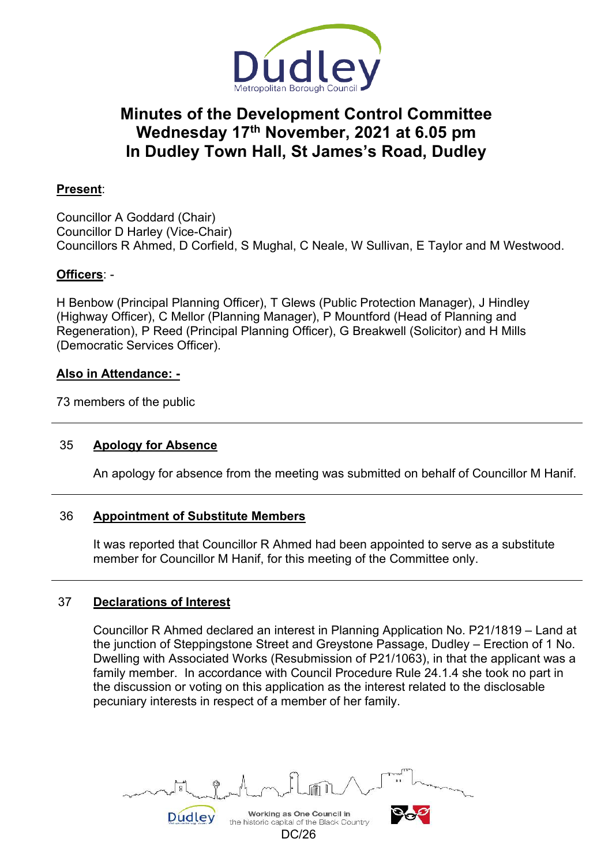

# **Minutes of the Development Control Committee Wednesday 17th November, 2021 at 6.05 pm In Dudley Town Hall, St James's Road, Dudley**

# **Present**:

Councillor A Goddard (Chair) Councillor D Harley (Vice-Chair) Councillors R Ahmed, D Corfield, S Mughal, C Neale, W Sullivan, E Taylor and M Westwood.

# **Officers**: -

H Benbow (Principal Planning Officer), T Glews (Public Protection Manager), J Hindley (Highway Officer), C Mellor (Planning Manager), P Mountford (Head of Planning and Regeneration), P Reed (Principal Planning Officer), G Breakwell (Solicitor) and H Mills (Democratic Services Officer).

## **Also in Attendance: -**

73 members of the public

# 35 **Apology for Absence**

An apology for absence from the meeting was submitted on behalf of Councillor M Hanif.

# 36 **Appointment of Substitute Members**

 It was reported that Councillor R Ahmed had been appointed to serve as a substitute member for Councillor M Hanif, for this meeting of the Committee only.

# 37 **Declarations of Interest**

 Councillor R Ahmed declared an interest in Planning Application No. P21/1819 – Land at the junction of Steppingstone Street and Greystone Passage, Dudley – Erection of 1 No. Dwelling with Associated Works (Resubmission of P21/1063), in that the applicant was a family member. In accordance with Council Procedure Rule 24.1.4 she took no part in the discussion or voting on this application as the interest related to the disclosable pecuniary interests in respect of a member of her family.

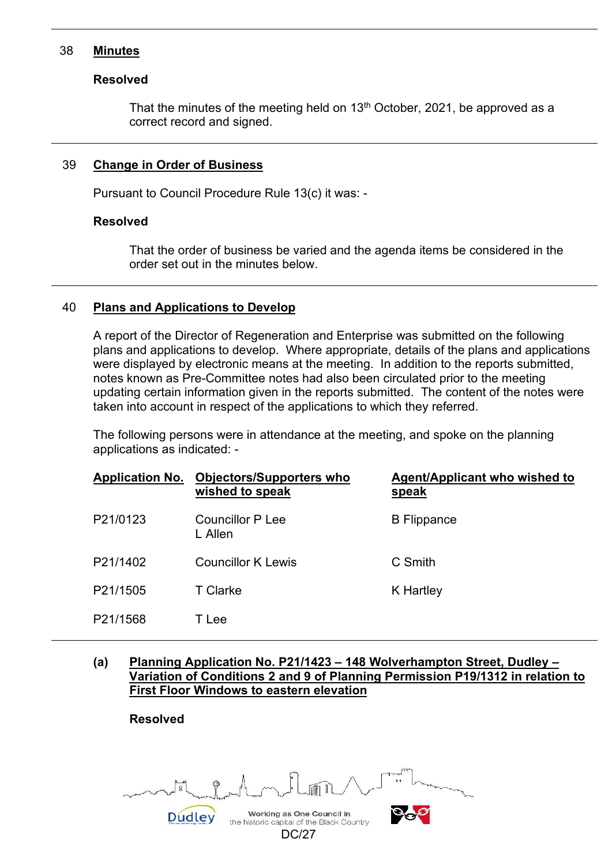#### 38 **Minutes**

#### **Resolved**

That the minutes of the meeting held on 13<sup>th</sup> October, 2021, be approved as a correct record and signed.

#### 39 **Change in Order of Business**

Pursuant to Council Procedure Rule 13(c) it was: -

#### **Resolved**

That the order of business be varied and the agenda items be considered in the order set out in the minutes below.

#### 40 **Plans and Applications to Develop**

 A report of the Director of Regeneration and Enterprise was submitted on the following plans and applications to develop. Where appropriate, details of the plans and applications were displayed by electronic means at the meeting. In addition to the reports submitted, notes known as Pre-Committee notes had also been circulated prior to the meeting updating certain information given in the reports submitted. The content of the notes were taken into account in respect of the applications to which they referred.

 The following persons were in attendance at the meeting, and spoke on the planning applications as indicated: -

| <b>Application No.</b> | <b>Objectors/Supporters who</b><br>wished to speak | <b>Agent/Applicant who wished to</b><br>speak |
|------------------------|----------------------------------------------------|-----------------------------------------------|
| P21/0123               | Councillor P Lee<br>L Allen                        | <b>B</b> Flippance                            |
| P21/1402               | Councillor K Lewis                                 | C Smith                                       |
| P21/1505               | T Clarke                                           | K Hartley                                     |
| P21/1568               | Tlee                                               |                                               |

**(a) Planning Application No. P21/1423 – 148 Wolverhampton Street, Dudley – Variation of Conditions 2 and 9 of Planning Permission P19/1312 in relation to First Floor Windows to eastern elevation** 

**Resolved** 

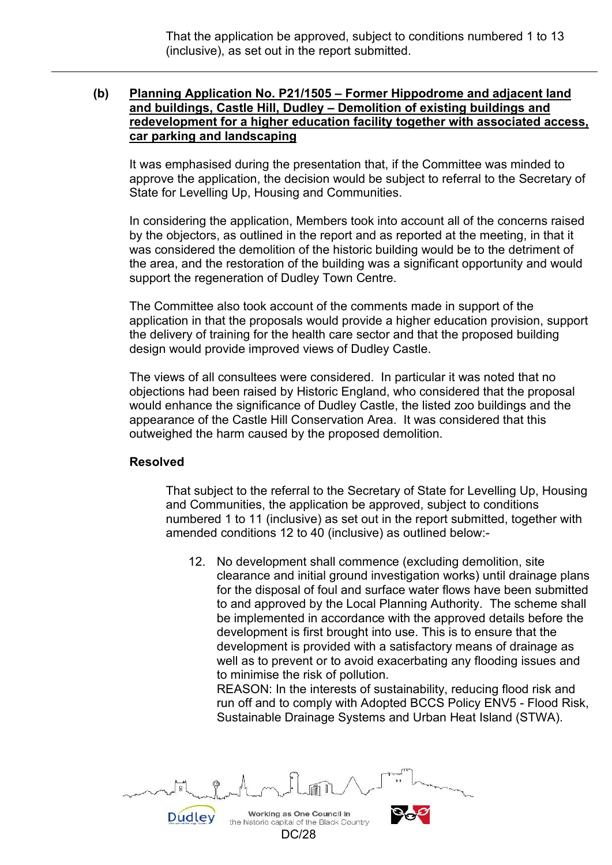That the application be approved, subject to conditions numbered 1 to 13 (inclusive), as set out in the report submitted.

#### **(b) Planning Application No. P21/1505 – Former Hippodrome and adjacent land and buildings, Castle Hill, Dudley – Demolition of existing buildings and redevelopment for a higher education facility together with associated access, car parking and landscaping**

 It was emphasised during the presentation that, if the Committee was minded to approve the application, the decision would be subject to referral to the Secretary of State for Levelling Up, Housing and Communities.

 In considering the application, Members took into account all of the concerns raised by the objectors, as outlined in the report and as reported at the meeting, in that it was considered the demolition of the historic building would be to the detriment of the area, and the restoration of the building was a significant opportunity and would support the regeneration of Dudley Town Centre.

 The Committee also took account of the comments made in support of the application in that the proposals would provide a higher education provision, support the delivery of training for the health care sector and that the proposed building design would provide improved views of Dudley Castle.

 The views of all consultees were considered. In particular it was noted that no objections had been raised by Historic England, who considered that the proposal would enhance the significance of Dudley Castle, the listed zoo buildings and the appearance of the Castle Hill Conservation Area. It was considered that this outweighed the harm caused by the proposed demolition.

# **Resolved**

 That subject to the referral to the Secretary of State for Levelling Up, Housing and Communities, the application be approved, subject to conditions numbered 1 to 11 (inclusive) as set out in the report submitted, together with amended conditions 12 to 40 (inclusive) as outlined below:-

 12. No development shall commence (excluding demolition, site clearance and initial ground investigation works) until drainage plans for the disposal of foul and surface water flows have been submitted to and approved by the Local Planning Authority. The scheme shall be implemented in accordance with the approved details before the development is first brought into use. This is to ensure that the development is provided with a satisfactory means of drainage as well as to prevent or to avoid exacerbating any flooding issues and to minimise the risk of pollution.

REASON: In the interests of sustainability, reducing flood risk and run off and to comply with Adopted BCCS Policy ENV5 - Flood Risk, Sustainable Drainage Systems and Urban Heat Island (STWA).

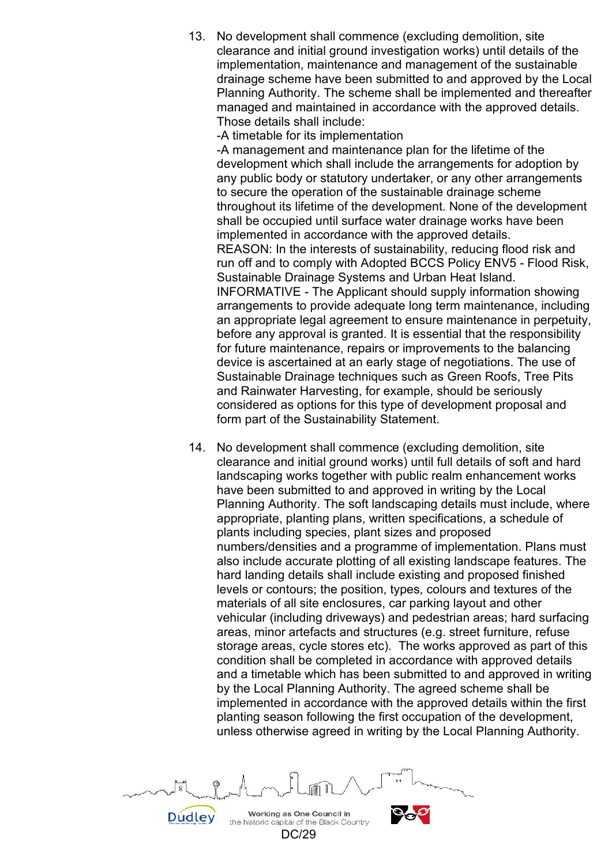13. No development shall commence (excluding demolition, site clearance and initial ground investigation works) until details of the implementation, maintenance and management of the sustainable drainage scheme have been submitted to and approved by the Local Planning Authority. The scheme shall be implemented and thereafter managed and maintained in accordance with the approved details. Those details shall include:

-A timetable for its implementation

-A management and maintenance plan for the lifetime of the development which shall include the arrangements for adoption by any public body or statutory undertaker, or any other arrangements to secure the operation of the sustainable drainage scheme throughout its lifetime of the development. None of the development shall be occupied until surface water drainage works have been implemented in accordance with the approved details. REASON: In the interests of sustainability, reducing flood risk and run off and to comply with Adopted BCCS Policy ENV5 - Flood Risk, Sustainable Drainage Systems and Urban Heat Island. INFORMATIVE - The Applicant should supply information showing arrangements to provide adequate long term maintenance, including an appropriate legal agreement to ensure maintenance in perpetuity, before any approval is granted. It is essential that the responsibility for future maintenance, repairs or improvements to the balancing device is ascertained at an early stage of negotiations. The use of Sustainable Drainage techniques such as Green Roofs, Tree Pits and Rainwater Harvesting, for example, should be seriously considered as options for this type of development proposal and form part of the Sustainability Statement.

 14. No development shall commence (excluding demolition, site clearance and initial ground works) until full details of soft and hard landscaping works together with public realm enhancement works have been submitted to and approved in writing by the Local Planning Authority. The soft landscaping details must include, where appropriate, planting plans, written specifications, a schedule of plants including species, plant sizes and proposed numbers/densities and a programme of implementation. Plans must also include accurate plotting of all existing landscape features. The hard landing details shall include existing and proposed finished levels or contours; the position, types, colours and textures of the materials of all site enclosures, car parking layout and other vehicular (including driveways) and pedestrian areas; hard surfacing areas, minor artefacts and structures (e.g. street furniture, refuse storage areas, cycle stores etc). The works approved as part of this condition shall be completed in accordance with approved details and a timetable which has been submitted to and approved in writing by the Local Planning Authority. The agreed scheme shall be implemented in accordance with the approved details within the first planting season following the first occupation of the development, unless otherwise agreed in writing by the Local Planning Authority.

Working as One Council in **Dudley** the historic capital of the Black Country

DC/29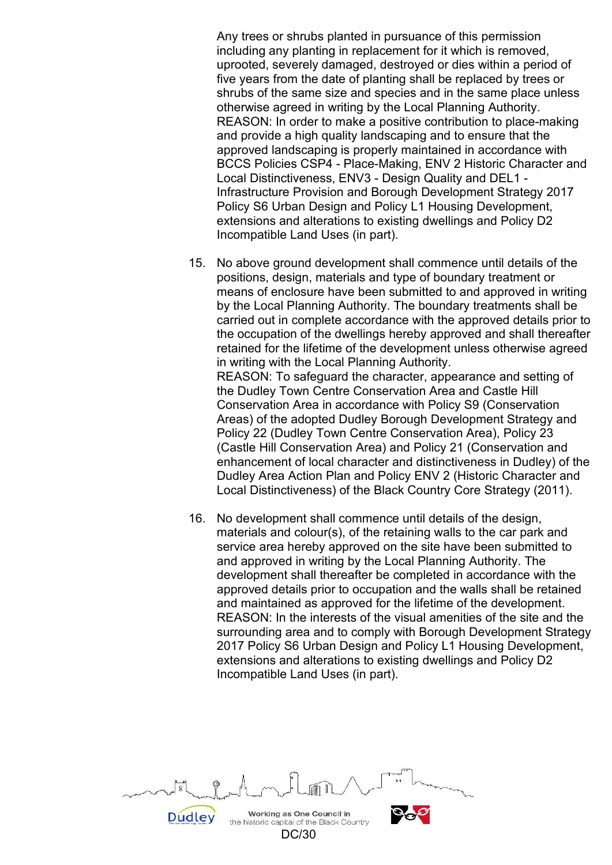Any trees or shrubs planted in pursuance of this permission including any planting in replacement for it which is removed, uprooted, severely damaged, destroyed or dies within a period of five years from the date of planting shall be replaced by trees or shrubs of the same size and species and in the same place unless otherwise agreed in writing by the Local Planning Authority. REASON: In order to make a positive contribution to place-making and provide a high quality landscaping and to ensure that the approved landscaping is properly maintained in accordance with BCCS Policies CSP4 - Place-Making, ENV 2 Historic Character and Local Distinctiveness, ENV3 - Design Quality and DEL1 - Infrastructure Provision and Borough Development Strategy 2017 Policy S6 Urban Design and Policy L1 Housing Development, extensions and alterations to existing dwellings and Policy D2 Incompatible Land Uses (in part).

- 15. No above ground development shall commence until details of the positions, design, materials and type of boundary treatment or means of enclosure have been submitted to and approved in writing by the Local Planning Authority. The boundary treatments shall be carried out in complete accordance with the approved details prior to the occupation of the dwellings hereby approved and shall thereafter retained for the lifetime of the development unless otherwise agreed in writing with the Local Planning Authority. REASON: To safeguard the character, appearance and setting of the Dudley Town Centre Conservation Area and Castle Hill Conservation Area in accordance with Policy S9 (Conservation Areas) of the adopted Dudley Borough Development Strategy and Policy 22 (Dudley Town Centre Conservation Area), Policy 23 (Castle Hill Conservation Area) and Policy 21 (Conservation and enhancement of local character and distinctiveness in Dudley) of the Dudley Area Action Plan and Policy ENV 2 (Historic Character and Local Distinctiveness) of the Black Country Core Strategy (2011).
- 16. No development shall commence until details of the design, materials and colour(s), of the retaining walls to the car park and service area hereby approved on the site have been submitted to and approved in writing by the Local Planning Authority. The development shall thereafter be completed in accordance with the approved details prior to occupation and the walls shall be retained and maintained as approved for the lifetime of the development. REASON: In the interests of the visual amenities of the site and the surrounding area and to comply with Borough Development Strategy 2017 Policy S6 Urban Design and Policy L1 Housing Development, extensions and alterations to existing dwellings and Policy D2 Incompatible Land Uses (in part).

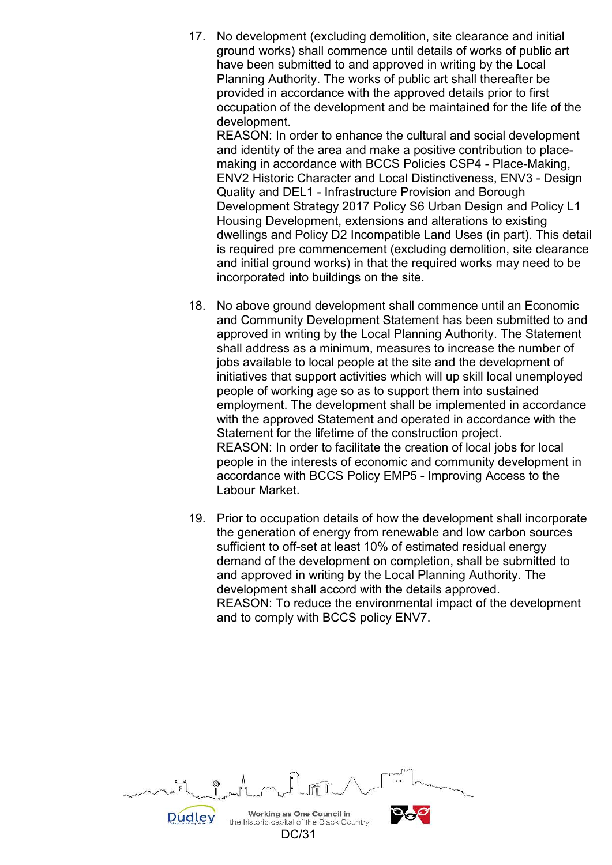17. No development (excluding demolition, site clearance and initial ground works) shall commence until details of works of public art have been submitted to and approved in writing by the Local Planning Authority. The works of public art shall thereafter be provided in accordance with the approved details prior to first occupation of the development and be maintained for the life of the development.

REASON: In order to enhance the cultural and social development and identity of the area and make a positive contribution to placemaking in accordance with BCCS Policies CSP4 - Place-Making, ENV2 Historic Character and Local Distinctiveness, ENV3 - Design Quality and DEL1 - Infrastructure Provision and Borough Development Strategy 2017 Policy S6 Urban Design and Policy L1 Housing Development, extensions and alterations to existing dwellings and Policy D2 Incompatible Land Uses (in part). This detail is required pre commencement (excluding demolition, site clearance and initial ground works) in that the required works may need to be incorporated into buildings on the site.

- 18. No above ground development shall commence until an Economic and Community Development Statement has been submitted to and approved in writing by the Local Planning Authority. The Statement shall address as a minimum, measures to increase the number of jobs available to local people at the site and the development of initiatives that support activities which will up skill local unemployed people of working age so as to support them into sustained employment. The development shall be implemented in accordance with the approved Statement and operated in accordance with the Statement for the lifetime of the construction project. REASON: In order to facilitate the creation of local jobs for local people in the interests of economic and community development in accordance with BCCS Policy EMP5 - Improving Access to the Labour Market.
- 19. Prior to occupation details of how the development shall incorporate the generation of energy from renewable and low carbon sources sufficient to off-set at least 10% of estimated residual energy demand of the development on completion, shall be submitted to and approved in writing by the Local Planning Authority. The development shall accord with the details approved. REASON: To reduce the environmental impact of the development and to comply with BCCS policy ENV7.

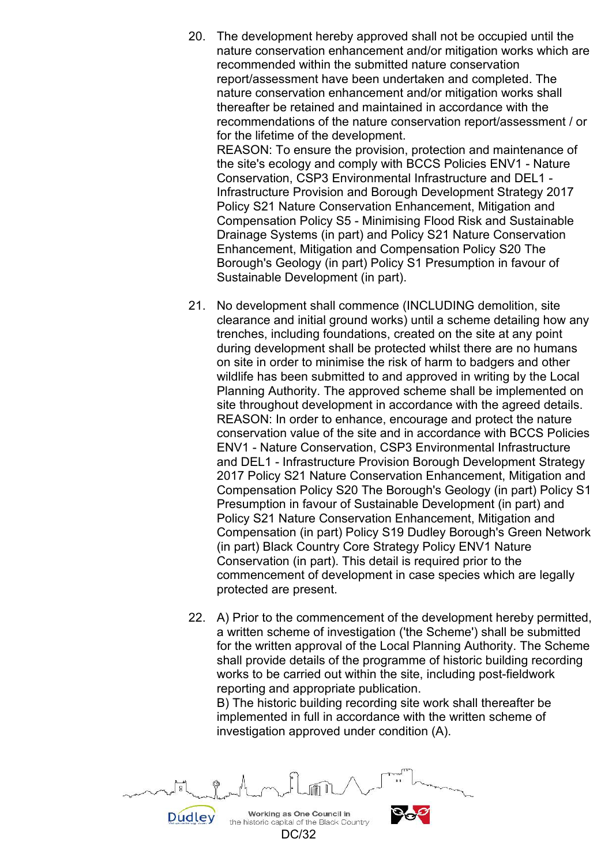20. The development hereby approved shall not be occupied until the nature conservation enhancement and/or mitigation works which are recommended within the submitted nature conservation report/assessment have been undertaken and completed. The nature conservation enhancement and/or mitigation works shall thereafter be retained and maintained in accordance with the recommendations of the nature conservation report/assessment / or for the lifetime of the development.

REASON: To ensure the provision, protection and maintenance of the site's ecology and comply with BCCS Policies ENV1 - Nature Conservation, CSP3 Environmental Infrastructure and DEL1 - Infrastructure Provision and Borough Development Strategy 2017 Policy S21 Nature Conservation Enhancement, Mitigation and Compensation Policy S5 - Minimising Flood Risk and Sustainable Drainage Systems (in part) and Policy S21 Nature Conservation Enhancement, Mitigation and Compensation Policy S20 The Borough's Geology (in part) Policy S1 Presumption in favour of Sustainable Development (in part).

- 21. No development shall commence (INCLUDING demolition, site clearance and initial ground works) until a scheme detailing how any trenches, including foundations, created on the site at any point during development shall be protected whilst there are no humans on site in order to minimise the risk of harm to badgers and other wildlife has been submitted to and approved in writing by the Local Planning Authority. The approved scheme shall be implemented on site throughout development in accordance with the agreed details. REASON: In order to enhance, encourage and protect the nature conservation value of the site and in accordance with BCCS Policies ENV1 - Nature Conservation, CSP3 Environmental Infrastructure and DEL1 - Infrastructure Provision Borough Development Strategy 2017 Policy S21 Nature Conservation Enhancement, Mitigation and Compensation Policy S20 The Borough's Geology (in part) Policy S1 Presumption in favour of Sustainable Development (in part) and Policy S21 Nature Conservation Enhancement, Mitigation and Compensation (in part) Policy S19 Dudley Borough's Green Network (in part) Black Country Core Strategy Policy ENV1 Nature Conservation (in part). This detail is required prior to the commencement of development in case species which are legally protected are present.
- 22. A) Prior to the commencement of the development hereby permitted, a written scheme of investigation ('the Scheme') shall be submitted for the written approval of the Local Planning Authority. The Scheme shall provide details of the programme of historic building recording works to be carried out within the site, including post-fieldwork reporting and appropriate publication.

B) The historic building recording site work shall thereafter be implemented in full in accordance with the written scheme of investigation approved under condition (A).

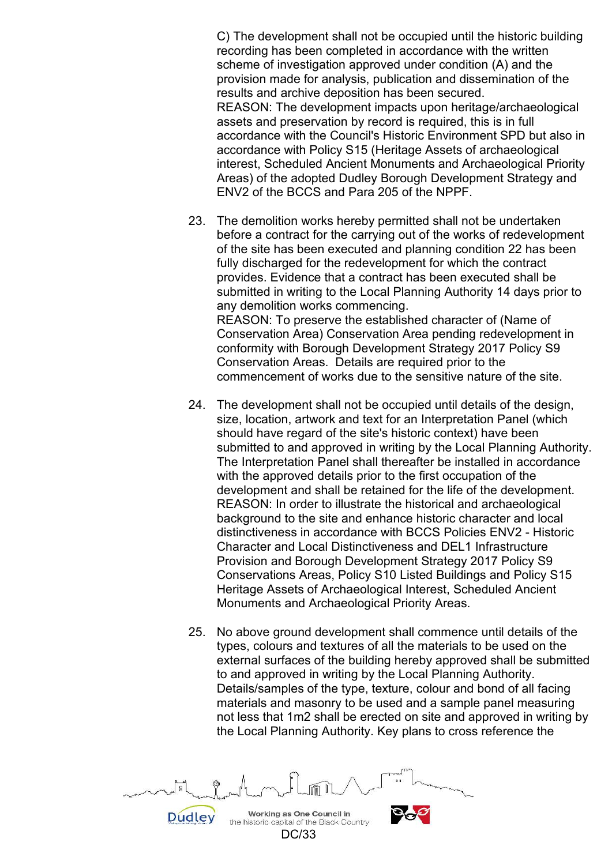C) The development shall not be occupied until the historic building recording has been completed in accordance with the written scheme of investigation approved under condition (A) and the provision made for analysis, publication and dissemination of the results and archive deposition has been secured. REASON: The development impacts upon heritage/archaeological assets and preservation by record is required, this is in full accordance with the Council's Historic Environment SPD but also in accordance with Policy S15 (Heritage Assets of archaeological interest, Scheduled Ancient Monuments and Archaeological Priority Areas) of the adopted Dudley Borough Development Strategy and ENV2 of the BCCS and Para 205 of the NPPF.

- 23. The demolition works hereby permitted shall not be undertaken before a contract for the carrying out of the works of redevelopment of the site has been executed and planning condition 22 has been fully discharged for the redevelopment for which the contract provides. Evidence that a contract has been executed shall be submitted in writing to the Local Planning Authority 14 days prior to any demolition works commencing. REASON: To preserve the established character of (Name of Conservation Area) Conservation Area pending redevelopment in conformity with Borough Development Strategy 2017 Policy S9 Conservation Areas. Details are required prior to the commencement of works due to the sensitive nature of the site.
- 24. The development shall not be occupied until details of the design, size, location, artwork and text for an Interpretation Panel (which should have regard of the site's historic context) have been submitted to and approved in writing by the Local Planning Authority. The Interpretation Panel shall thereafter be installed in accordance with the approved details prior to the first occupation of the development and shall be retained for the life of the development. REASON: In order to illustrate the historical and archaeological background to the site and enhance historic character and local distinctiveness in accordance with BCCS Policies ENV2 - Historic Character and Local Distinctiveness and DEL1 Infrastructure Provision and Borough Development Strategy 2017 Policy S9 Conservations Areas, Policy S10 Listed Buildings and Policy S15 Heritage Assets of Archaeological Interest, Scheduled Ancient Monuments and Archaeological Priority Areas.
- 25. No above ground development shall commence until details of the types, colours and textures of all the materials to be used on the external surfaces of the building hereby approved shall be submitted to and approved in writing by the Local Planning Authority. Details/samples of the type, texture, colour and bond of all facing materials and masonry to be used and a sample panel measuring not less that 1m2 shall be erected on site and approved in writing by the Local Planning Authority. Key plans to cross reference the

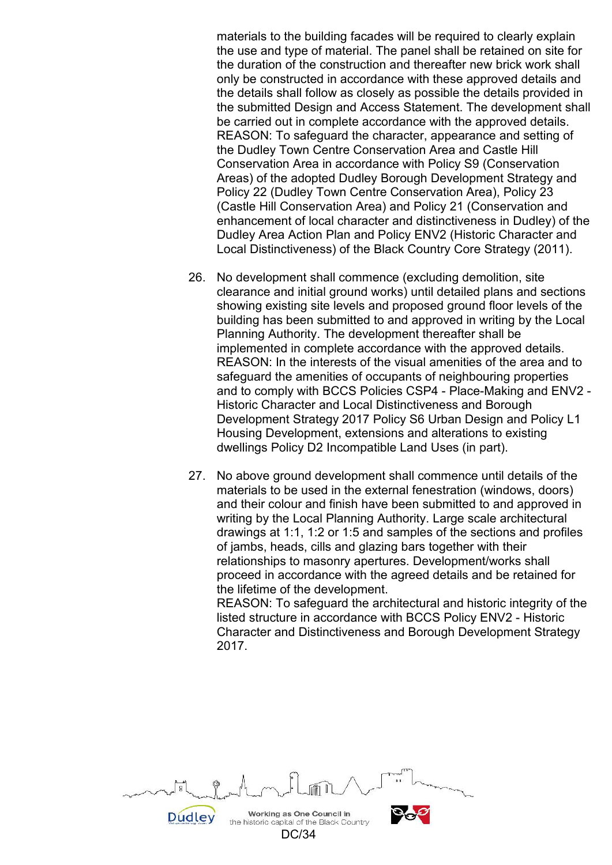materials to the building facades will be required to clearly explain the use and type of material. The panel shall be retained on site for the duration of the construction and thereafter new brick work shall only be constructed in accordance with these approved details and the details shall follow as closely as possible the details provided in the submitted Design and Access Statement. The development shall be carried out in complete accordance with the approved details. REASON: To safeguard the character, appearance and setting of the Dudley Town Centre Conservation Area and Castle Hill Conservation Area in accordance with Policy S9 (Conservation Areas) of the adopted Dudley Borough Development Strategy and Policy 22 (Dudley Town Centre Conservation Area), Policy 23 (Castle Hill Conservation Area) and Policy 21 (Conservation and enhancement of local character and distinctiveness in Dudley) of the Dudley Area Action Plan and Policy ENV2 (Historic Character and Local Distinctiveness) of the Black Country Core Strategy (2011).

- 26. No development shall commence (excluding demolition, site clearance and initial ground works) until detailed plans and sections showing existing site levels and proposed ground floor levels of the building has been submitted to and approved in writing by the Local Planning Authority. The development thereafter shall be implemented in complete accordance with the approved details. REASON: In the interests of the visual amenities of the area and to safeguard the amenities of occupants of neighbouring properties and to comply with BCCS Policies CSP4 - Place-Making and ENV2 - Historic Character and Local Distinctiveness and Borough Development Strategy 2017 Policy S6 Urban Design and Policy L1 Housing Development, extensions and alterations to existing dwellings Policy D2 Incompatible Land Uses (in part).
- 27. No above ground development shall commence until details of the materials to be used in the external fenestration (windows, doors) and their colour and finish have been submitted to and approved in writing by the Local Planning Authority. Large scale architectural drawings at 1:1, 1:2 or 1:5 and samples of the sections and profiles of jambs, heads, cills and glazing bars together with their relationships to masonry apertures. Development/works shall proceed in accordance with the agreed details and be retained for the lifetime of the development. REASON: To safeguard the architectural and historic integrity of the

listed structure in accordance with BCCS Policy ENV2 - Historic Character and Distinctiveness and Borough Development Strategy 2017.

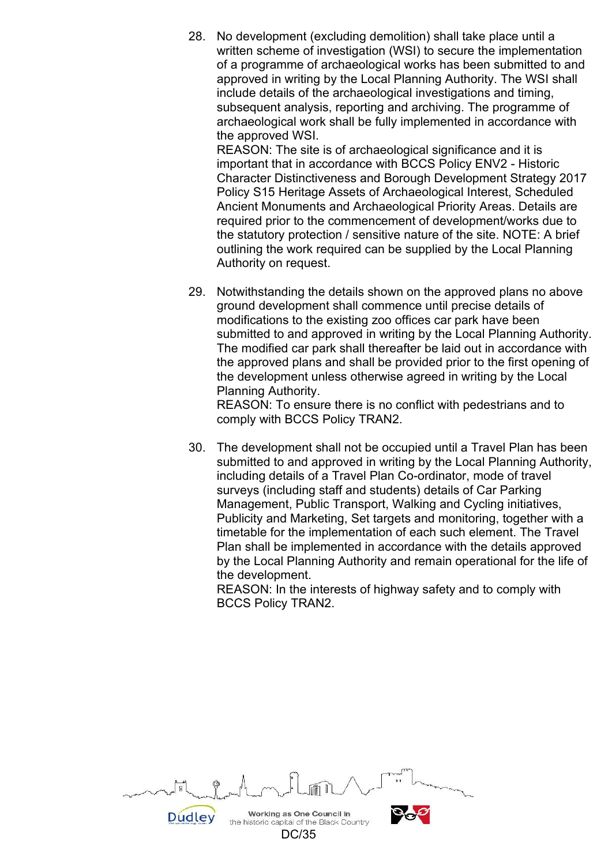28. No development (excluding demolition) shall take place until a written scheme of investigation (WSI) to secure the implementation of a programme of archaeological works has been submitted to and approved in writing by the Local Planning Authority. The WSI shall include details of the archaeological investigations and timing, subsequent analysis, reporting and archiving. The programme of archaeological work shall be fully implemented in accordance with the approved WSI.

REASON: The site is of archaeological significance and it is important that in accordance with BCCS Policy ENV2 - Historic Character Distinctiveness and Borough Development Strategy 2017 Policy S15 Heritage Assets of Archaeological Interest, Scheduled Ancient Monuments and Archaeological Priority Areas. Details are required prior to the commencement of development/works due to the statutory protection / sensitive nature of the site. NOTE: A brief outlining the work required can be supplied by the Local Planning Authority on request.

 29. Notwithstanding the details shown on the approved plans no above ground development shall commence until precise details of modifications to the existing zoo offices car park have been submitted to and approved in writing by the Local Planning Authority. The modified car park shall thereafter be laid out in accordance with the approved plans and shall be provided prior to the first opening of the development unless otherwise agreed in writing by the Local Planning Authority.

REASON: To ensure there is no conflict with pedestrians and to comply with BCCS Policy TRAN2.

 30. The development shall not be occupied until a Travel Plan has been submitted to and approved in writing by the Local Planning Authority, including details of a Travel Plan Co-ordinator, mode of travel surveys (including staff and students) details of Car Parking Management, Public Transport, Walking and Cycling initiatives, Publicity and Marketing, Set targets and monitoring, together with a timetable for the implementation of each such element. The Travel Plan shall be implemented in accordance with the details approved by the Local Planning Authority and remain operational for the life of the development.

REASON: In the interests of highway safety and to comply with BCCS Policy TRAN2.

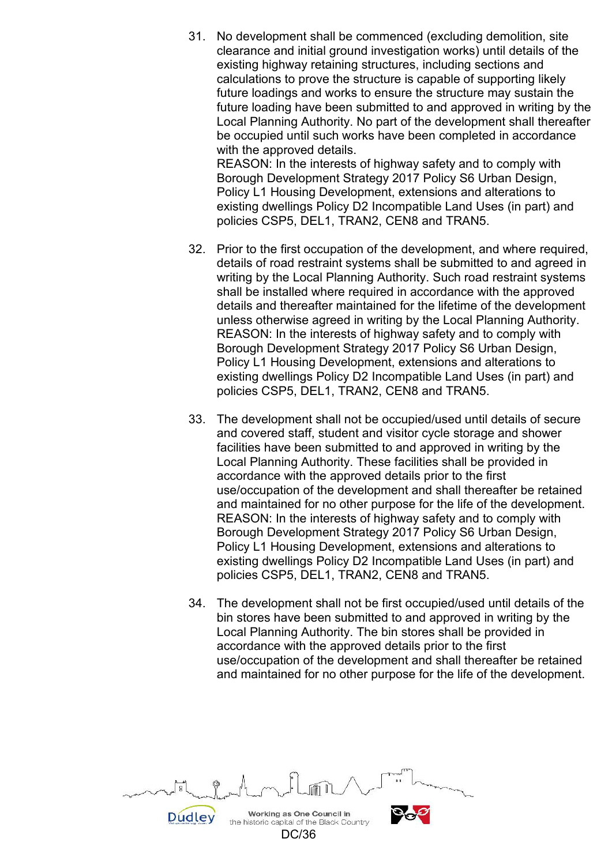31. No development shall be commenced (excluding demolition, site clearance and initial ground investigation works) until details of the existing highway retaining structures, including sections and calculations to prove the structure is capable of supporting likely future loadings and works to ensure the structure may sustain the future loading have been submitted to and approved in writing by the Local Planning Authority. No part of the development shall thereafter be occupied until such works have been completed in accordance with the approved details. REASON: In the interests of highway safety and to comply with

Borough Development Strategy 2017 Policy S6 Urban Design, Policy L1 Housing Development, extensions and alterations to existing dwellings Policy D2 Incompatible Land Uses (in part) and policies CSP5, DEL1, TRAN2, CEN8 and TRAN5.

- 32. Prior to the first occupation of the development, and where required, details of road restraint systems shall be submitted to and agreed in writing by the Local Planning Authority. Such road restraint systems shall be installed where required in accordance with the approved details and thereafter maintained for the lifetime of the development unless otherwise agreed in writing by the Local Planning Authority. REASON: In the interests of highway safety and to comply with Borough Development Strategy 2017 Policy S6 Urban Design, Policy L1 Housing Development, extensions and alterations to existing dwellings Policy D2 Incompatible Land Uses (in part) and policies CSP5, DEL1, TRAN2, CEN8 and TRAN5.
- 33. The development shall not be occupied/used until details of secure and covered staff, student and visitor cycle storage and shower facilities have been submitted to and approved in writing by the Local Planning Authority. These facilities shall be provided in accordance with the approved details prior to the first use/occupation of the development and shall thereafter be retained and maintained for no other purpose for the life of the development. REASON: In the interests of highway safety and to comply with Borough Development Strategy 2017 Policy S6 Urban Design, Policy L1 Housing Development, extensions and alterations to existing dwellings Policy D2 Incompatible Land Uses (in part) and policies CSP5, DEL1, TRAN2, CEN8 and TRAN5.
- 34. The development shall not be first occupied/used until details of the bin stores have been submitted to and approved in writing by the Local Planning Authority. The bin stores shall be provided in accordance with the approved details prior to the first use/occupation of the development and shall thereafter be retained and maintained for no other purpose for the life of the development.

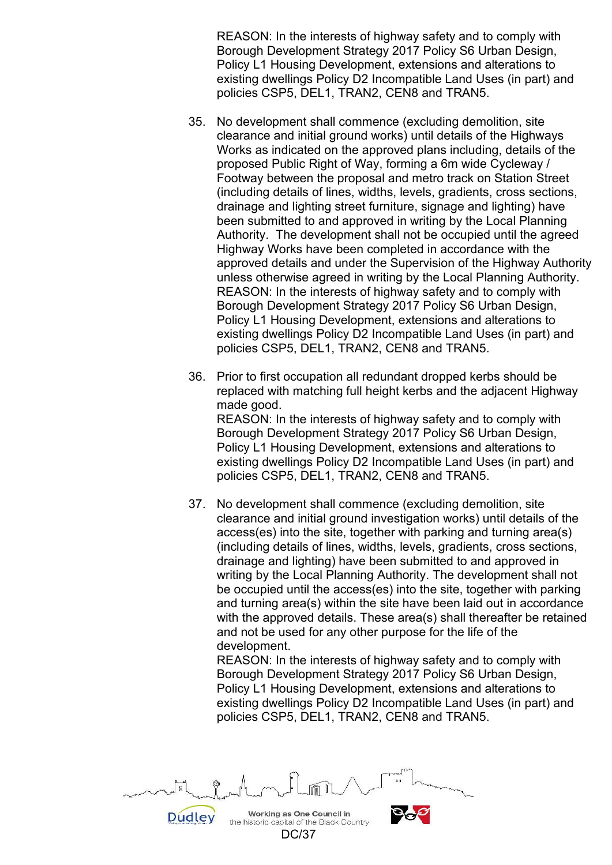REASON: In the interests of highway safety and to comply with Borough Development Strategy 2017 Policy S6 Urban Design, Policy L1 Housing Development, extensions and alterations to existing dwellings Policy D2 Incompatible Land Uses (in part) and policies CSP5, DEL1, TRAN2, CEN8 and TRAN5.

- 35. No development shall commence (excluding demolition, site clearance and initial ground works) until details of the Highways Works as indicated on the approved plans including, details of the proposed Public Right of Way, forming a 6m wide Cycleway / Footway between the proposal and metro track on Station Street (including details of lines, widths, levels, gradients, cross sections, drainage and lighting street furniture, signage and lighting) have been submitted to and approved in writing by the Local Planning Authority. The development shall not be occupied until the agreed Highway Works have been completed in accordance with the approved details and under the Supervision of the Highway Authority unless otherwise agreed in writing by the Local Planning Authority. REASON: In the interests of highway safety and to comply with Borough Development Strategy 2017 Policy S6 Urban Design, Policy L1 Housing Development, extensions and alterations to existing dwellings Policy D2 Incompatible Land Uses (in part) and policies CSP5, DEL1, TRAN2, CEN8 and TRAN5.
- 36. Prior to first occupation all redundant dropped kerbs should be replaced with matching full height kerbs and the adjacent Highway made good. REASON: In the interests of highway safety and to comply with Borough Development Strategy 2017 Policy S6 Urban Design, Policy L1 Housing Development, extensions and alterations to existing dwellings Policy D2 Incompatible Land Uses (in part) and policies CSP5, DEL1, TRAN2, CEN8 and TRAN5.
- 37. No development shall commence (excluding demolition, site clearance and initial ground investigation works) until details of the access(es) into the site, together with parking and turning area(s) (including details of lines, widths, levels, gradients, cross sections, drainage and lighting) have been submitted to and approved in writing by the Local Planning Authority. The development shall not be occupied until the access(es) into the site, together with parking and turning area(s) within the site have been laid out in accordance with the approved details. These area(s) shall thereafter be retained and not be used for any other purpose for the life of the development.

REASON: In the interests of highway safety and to comply with Borough Development Strategy 2017 Policy S6 Urban Design, Policy L1 Housing Development, extensions and alterations to existing dwellings Policy D2 Incompatible Land Uses (in part) and policies CSP5, DEL1, TRAN2, CEN8 and TRAN5.

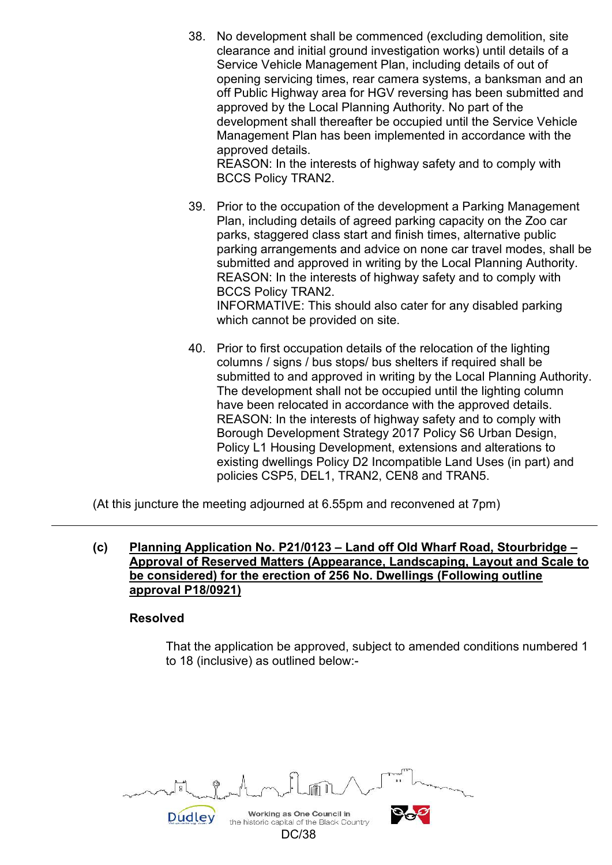38. No development shall be commenced (excluding demolition, site clearance and initial ground investigation works) until details of a Service Vehicle Management Plan, including details of out of opening servicing times, rear camera systems, a banksman and an off Public Highway area for HGV reversing has been submitted and approved by the Local Planning Authority. No part of the development shall thereafter be occupied until the Service Vehicle Management Plan has been implemented in accordance with the approved details. REASON: In the interests of highway safety and to comply with

BCCS Policy TRAN2.

- 39. Prior to the occupation of the development a Parking Management Plan, including details of agreed parking capacity on the Zoo car parks, staggered class start and finish times, alternative public parking arrangements and advice on none car travel modes, shall be submitted and approved in writing by the Local Planning Authority. REASON: In the interests of highway safety and to comply with BCCS Policy TRAN2. INFORMATIVE: This should also cater for any disabled parking which cannot be provided on site.
- 40. Prior to first occupation details of the relocation of the lighting columns / signs / bus stops/ bus shelters if required shall be submitted to and approved in writing by the Local Planning Authority. The development shall not be occupied until the lighting column have been relocated in accordance with the approved details. REASON: In the interests of highway safety and to comply with Borough Development Strategy 2017 Policy S6 Urban Design, Policy L1 Housing Development, extensions and alterations to existing dwellings Policy D2 Incompatible Land Uses (in part) and policies CSP5, DEL1, TRAN2, CEN8 and TRAN5.

(At this juncture the meeting adjourned at 6.55pm and reconvened at 7pm)

**(c) Planning Application No. P21/0123 – Land off Old Wharf Road, Stourbridge – Approval of Reserved Matters (Appearance, Landscaping, Layout and Scale to be considered) for the erection of 256 No. Dwellings (Following outline approval P18/0921)** 

#### **Resolved**

 That the application be approved, subject to amended conditions numbered 1 to 18 (inclusive) as outlined below:-

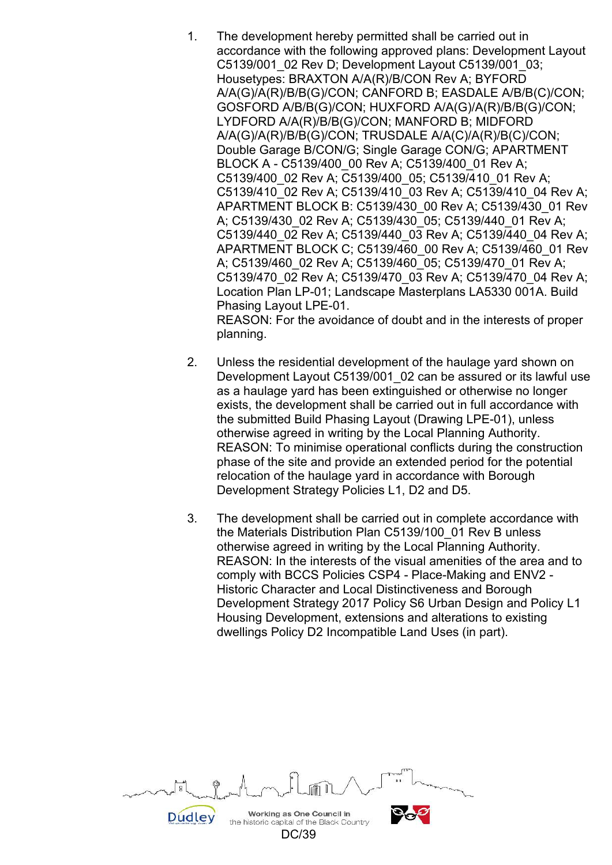- 1. The development hereby permitted shall be carried out in accordance with the following approved plans: Development Layout C5139/001\_02 Rev D; Development Layout C5139/001\_03; Housetypes: BRAXTON A/A(R)/B/CON Rev A; BYFORD A/A(G)/A(R)/B/B(G)/CON; CANFORD B; EASDALE A/B/B(C)/CON; GOSFORD A/B/B(G)/CON; HUXFORD A/A(G)/A(R)/B/B(G)/CON; LYDFORD A/A(R)/B/B(G)/CON; MANFORD B; MIDFORD A/A(G)/A(R)/B/B(G)/CON; TRUSDALE A/A(C)/A(R)/B(C)/CON; Double Garage B/CON/G; Single Garage CON/G; APARTMENT BLOCK A - C5139/400\_00 Rev A; C5139/400\_01 Rev A; C5139/400\_02 Rev A; C5139/400\_05; C5139/410\_01 Rev A; C5139/410\_02 Rev A; C5139/410\_03 Rev A; C5139/410\_04 Rev A; APARTMENT BLOCK B: C5139/430\_00 Rev A; C5139/430\_01 Rev A; C5139/430\_02 Rev A; C5139/430\_05; C5139/440\_01 Rev A; C5139/440\_02 Rev A; C5139/440\_03 Rev A; C5139/440\_04 Rev A; APARTMENT BLOCK C; C5139/460\_00 Rev A; C5139/460\_01 Rev A; C5139/460\_02 Rev A; C5139/460\_05; C5139/470\_01 Rev A; C5139/470\_02 Rev A; C5139/470\_03 Rev A; C5139/470\_04 Rev A; Location Plan LP-01; Landscape Masterplans LA5330 001A. Build Phasing Layout LPE-01. REASON: For the avoidance of doubt and in the interests of proper planning.
- 2. Unless the residential development of the haulage yard shown on Development Layout C5139/001\_02 can be assured or its lawful use as a haulage yard has been extinguished or otherwise no longer exists, the development shall be carried out in full accordance with the submitted Build Phasing Layout (Drawing LPE-01), unless otherwise agreed in writing by the Local Planning Authority. REASON: To minimise operational conflicts during the construction phase of the site and provide an extended period for the potential relocation of the haulage yard in accordance with Borough Development Strategy Policies L1, D2 and D5.
- 3. The development shall be carried out in complete accordance with the Materials Distribution Plan C5139/100\_01 Rev B unless otherwise agreed in writing by the Local Planning Authority. REASON: In the interests of the visual amenities of the area and to comply with BCCS Policies CSP4 - Place-Making and ENV2 - Historic Character and Local Distinctiveness and Borough Development Strategy 2017 Policy S6 Urban Design and Policy L1 Housing Development, extensions and alterations to existing dwellings Policy D2 Incompatible Land Uses (in part).

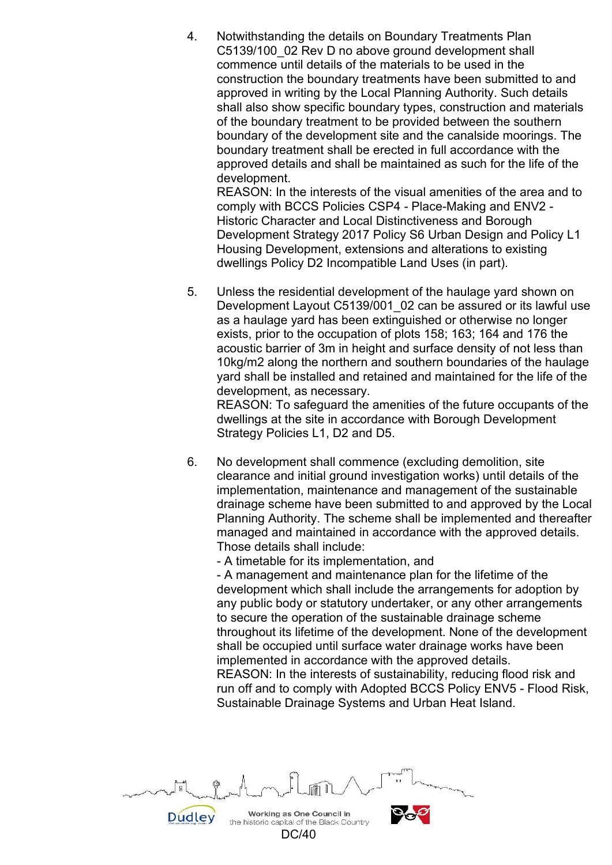4. Notwithstanding the details on Boundary Treatments Plan C5139/100\_02 Rev D no above ground development shall commence until details of the materials to be used in the construction the boundary treatments have been submitted to and approved in writing by the Local Planning Authority. Such details shall also show specific boundary types, construction and materials of the boundary treatment to be provided between the southern boundary of the development site and the canalside moorings. The boundary treatment shall be erected in full accordance with the approved details and shall be maintained as such for the life of the development.

REASON: In the interests of the visual amenities of the area and to comply with BCCS Policies CSP4 - Place-Making and ENV2 - Historic Character and Local Distinctiveness and Borough Development Strategy 2017 Policy S6 Urban Design and Policy L1 Housing Development, extensions and alterations to existing dwellings Policy D2 Incompatible Land Uses (in part).

 5. Unless the residential development of the haulage yard shown on Development Layout C5139/001 02 can be assured or its lawful use as a haulage yard has been extinguished or otherwise no longer exists, prior to the occupation of plots 158; 163; 164 and 176 the acoustic barrier of 3m in height and surface density of not less than 10kg/m2 along the northern and southern boundaries of the haulage yard shall be installed and retained and maintained for the life of the development, as necessary.

REASON: To safeguard the amenities of the future occupants of the dwellings at the site in accordance with Borough Development Strategy Policies L1, D2 and D5.

 6. No development shall commence (excluding demolition, site clearance and initial ground investigation works) until details of the implementation, maintenance and management of the sustainable drainage scheme have been submitted to and approved by the Local Planning Authority. The scheme shall be implemented and thereafter managed and maintained in accordance with the approved details. Those details shall include:

- A timetable for its implementation, and

- A management and maintenance plan for the lifetime of the development which shall include the arrangements for adoption by any public body or statutory undertaker, or any other arrangements to secure the operation of the sustainable drainage scheme throughout its lifetime of the development. None of the development shall be occupied until surface water drainage works have been implemented in accordance with the approved details.

REASON: In the interests of sustainability, reducing flood risk and run off and to comply with Adopted BCCS Policy ENV5 - Flood Risk, Sustainable Drainage Systems and Urban Heat Island.



DC/40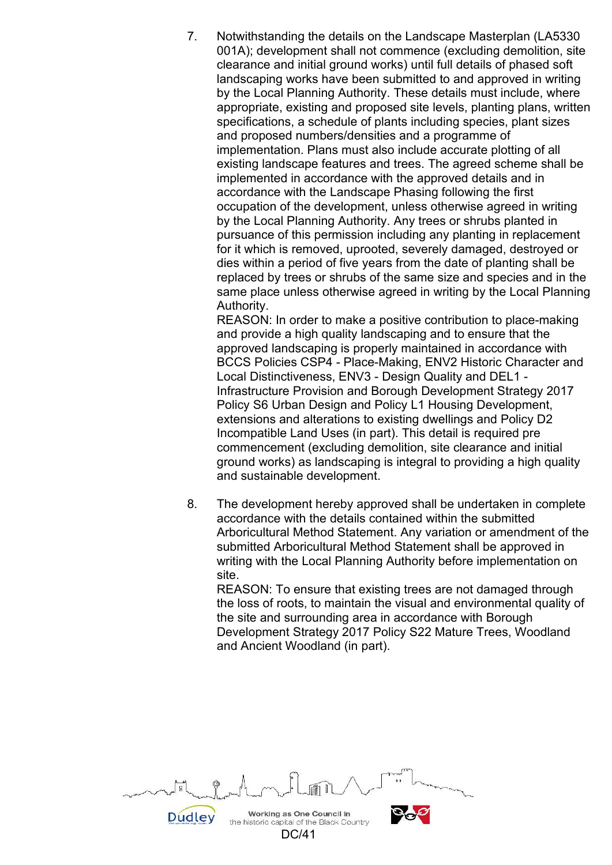7. Notwithstanding the details on the Landscape Masterplan (LA5330 001A); development shall not commence (excluding demolition, site clearance and initial ground works) until full details of phased soft landscaping works have been submitted to and approved in writing by the Local Planning Authority. These details must include, where appropriate, existing and proposed site levels, planting plans, written specifications, a schedule of plants including species, plant sizes and proposed numbers/densities and a programme of implementation. Plans must also include accurate plotting of all existing landscape features and trees. The agreed scheme shall be implemented in accordance with the approved details and in accordance with the Landscape Phasing following the first occupation of the development, unless otherwise agreed in writing by the Local Planning Authority. Any trees or shrubs planted in pursuance of this permission including any planting in replacement for it which is removed, uprooted, severely damaged, destroyed or dies within a period of five years from the date of planting shall be replaced by trees or shrubs of the same size and species and in the same place unless otherwise agreed in writing by the Local Planning Authority.

REASON: In order to make a positive contribution to place-making and provide a high quality landscaping and to ensure that the approved landscaping is properly maintained in accordance with BCCS Policies CSP4 - Place-Making, ENV2 Historic Character and Local Distinctiveness, ENV3 - Design Quality and DEL1 - Infrastructure Provision and Borough Development Strategy 2017 Policy S6 Urban Design and Policy L1 Housing Development, extensions and alterations to existing dwellings and Policy D2 Incompatible Land Uses (in part). This detail is required pre commencement (excluding demolition, site clearance and initial ground works) as landscaping is integral to providing a high quality and sustainable development.

 8. The development hereby approved shall be undertaken in complete accordance with the details contained within the submitted Arboricultural Method Statement. Any variation or amendment of the submitted Arboricultural Method Statement shall be approved in writing with the Local Planning Authority before implementation on site.

REASON: To ensure that existing trees are not damaged through the loss of roots, to maintain the visual and environmental quality of the site and surrounding area in accordance with Borough Development Strategy 2017 Policy S22 Mature Trees, Woodland and Ancient Woodland (in part).

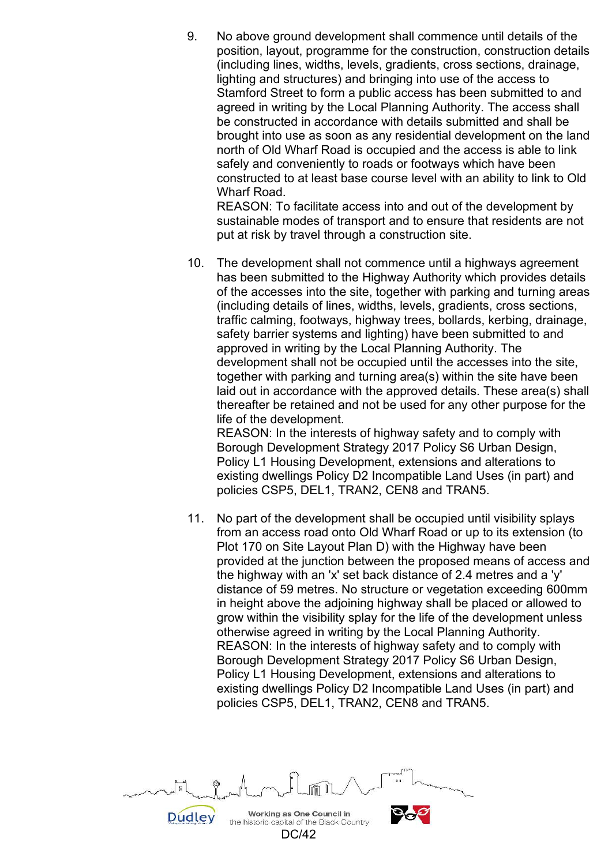9. No above ground development shall commence until details of the position, layout, programme for the construction, construction details (including lines, widths, levels, gradients, cross sections, drainage, lighting and structures) and bringing into use of the access to Stamford Street to form a public access has been submitted to and agreed in writing by the Local Planning Authority. The access shall be constructed in accordance with details submitted and shall be brought into use as soon as any residential development on the land north of Old Wharf Road is occupied and the access is able to link safely and conveniently to roads or footways which have been constructed to at least base course level with an ability to link to Old Wharf Road.

REASON: To facilitate access into and out of the development by sustainable modes of transport and to ensure that residents are not put at risk by travel through a construction site.

 10. The development shall not commence until a highways agreement has been submitted to the Highway Authority which provides details of the accesses into the site, together with parking and turning areas (including details of lines, widths, levels, gradients, cross sections, traffic calming, footways, highway trees, bollards, kerbing, drainage, safety barrier systems and lighting) have been submitted to and approved in writing by the Local Planning Authority. The development shall not be occupied until the accesses into the site, together with parking and turning area(s) within the site have been laid out in accordance with the approved details. These area(s) shall thereafter be retained and not be used for any other purpose for the life of the development.

REASON: In the interests of highway safety and to comply with Borough Development Strategy 2017 Policy S6 Urban Design, Policy L1 Housing Development, extensions and alterations to existing dwellings Policy D2 Incompatible Land Uses (in part) and policies CSP5, DEL1, TRAN2, CEN8 and TRAN5.

 11. No part of the development shall be occupied until visibility splays from an access road onto Old Wharf Road or up to its extension (to Plot 170 on Site Layout Plan D) with the Highway have been provided at the junction between the proposed means of access and the highway with an 'x' set back distance of 2.4 metres and a 'y' distance of 59 metres. No structure or vegetation exceeding 600mm in height above the adjoining highway shall be placed or allowed to grow within the visibility splay for the life of the development unless otherwise agreed in writing by the Local Planning Authority. REASON: In the interests of highway safety and to comply with Borough Development Strategy 2017 Policy S6 Urban Design, Policy L1 Housing Development, extensions and alterations to existing dwellings Policy D2 Incompatible Land Uses (in part) and policies CSP5, DEL1, TRAN2, CEN8 and TRAN5.

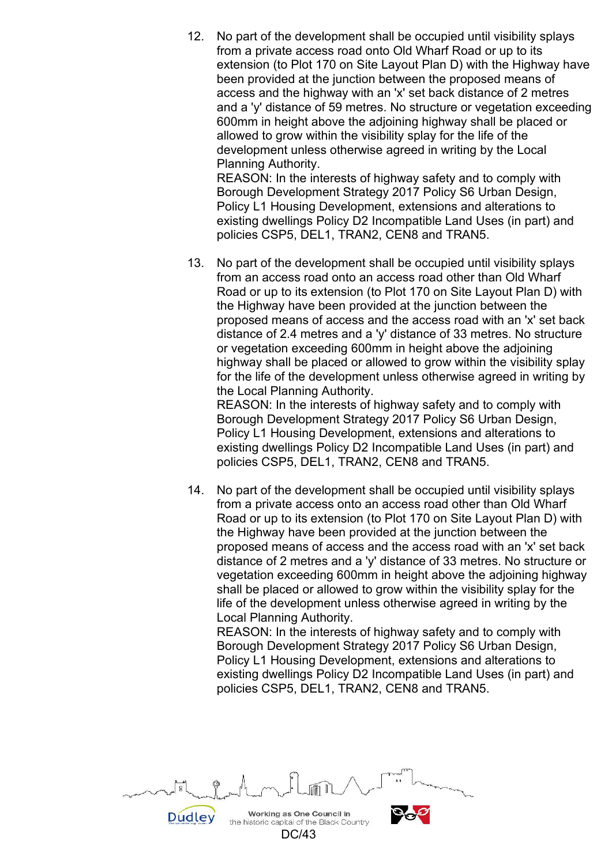12. No part of the development shall be occupied until visibility splays from a private access road onto Old Wharf Road or up to its extension (to Plot 170 on Site Layout Plan D) with the Highway have been provided at the junction between the proposed means of access and the highway with an 'x' set back distance of 2 metres and a 'y' distance of 59 metres. No structure or vegetation exceeding 600mm in height above the adjoining highway shall be placed or allowed to grow within the visibility splay for the life of the development unless otherwise agreed in writing by the Local Planning Authority.

REASON: In the interests of highway safety and to comply with Borough Development Strategy 2017 Policy S6 Urban Design, Policy L1 Housing Development, extensions and alterations to existing dwellings Policy D2 Incompatible Land Uses (in part) and policies CSP5, DEL1, TRAN2, CEN8 and TRAN5.

 13. No part of the development shall be occupied until visibility splays from an access road onto an access road other than Old Wharf Road or up to its extension (to Plot 170 on Site Layout Plan D) with the Highway have been provided at the junction between the proposed means of access and the access road with an 'x' set back distance of 2.4 metres and a 'y' distance of 33 metres. No structure or vegetation exceeding 600mm in height above the adjoining highway shall be placed or allowed to grow within the visibility splay for the life of the development unless otherwise agreed in writing by the Local Planning Authority.

REASON: In the interests of highway safety and to comply with Borough Development Strategy 2017 Policy S6 Urban Design, Policy L1 Housing Development, extensions and alterations to existing dwellings Policy D2 Incompatible Land Uses (in part) and policies CSP5, DEL1, TRAN2, CEN8 and TRAN5.

 14. No part of the development shall be occupied until visibility splays from a private access onto an access road other than Old Wharf Road or up to its extension (to Plot 170 on Site Layout Plan D) with the Highway have been provided at the junction between the proposed means of access and the access road with an 'x' set back distance of 2 metres and a 'y' distance of 33 metres. No structure or vegetation exceeding 600mm in height above the adjoining highway shall be placed or allowed to grow within the visibility splay for the life of the development unless otherwise agreed in writing by the Local Planning Authority.

REASON: In the interests of highway safety and to comply with Borough Development Strategy 2017 Policy S6 Urban Design, Policy L1 Housing Development, extensions and alterations to existing dwellings Policy D2 Incompatible Land Uses (in part) and policies CSP5, DEL1, TRAN2, CEN8 and TRAN5.

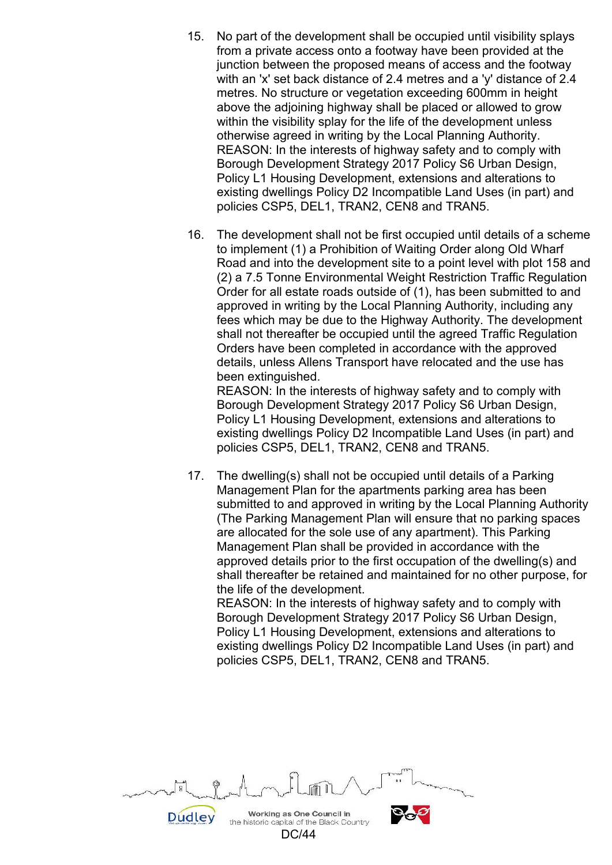- 15. No part of the development shall be occupied until visibility splays from a private access onto a footway have been provided at the junction between the proposed means of access and the footway with an 'x' set back distance of 2.4 metres and a 'y' distance of 2.4 metres. No structure or vegetation exceeding 600mm in height above the adjoining highway shall be placed or allowed to grow within the visibility splay for the life of the development unless otherwise agreed in writing by the Local Planning Authority. REASON: In the interests of highway safety and to comply with Borough Development Strategy 2017 Policy S6 Urban Design, Policy L1 Housing Development, extensions and alterations to existing dwellings Policy D2 Incompatible Land Uses (in part) and policies CSP5, DEL1, TRAN2, CEN8 and TRAN5.
- 16. The development shall not be first occupied until details of a scheme to implement (1) a Prohibition of Waiting Order along Old Wharf Road and into the development site to a point level with plot 158 and (2) a 7.5 Tonne Environmental Weight Restriction Traffic Regulation Order for all estate roads outside of (1), has been submitted to and approved in writing by the Local Planning Authority, including any fees which may be due to the Highway Authority. The development shall not thereafter be occupied until the agreed Traffic Regulation Orders have been completed in accordance with the approved details, unless Allens Transport have relocated and the use has been extinguished.

REASON: In the interests of highway safety and to comply with Borough Development Strategy 2017 Policy S6 Urban Design, Policy L1 Housing Development, extensions and alterations to existing dwellings Policy D2 Incompatible Land Uses (in part) and policies CSP5, DEL1, TRAN2, CEN8 and TRAN5.

 17. The dwelling(s) shall not be occupied until details of a Parking Management Plan for the apartments parking area has been submitted to and approved in writing by the Local Planning Authority (The Parking Management Plan will ensure that no parking spaces are allocated for the sole use of any apartment). This Parking Management Plan shall be provided in accordance with the approved details prior to the first occupation of the dwelling(s) and shall thereafter be retained and maintained for no other purpose, for the life of the development.

REASON: In the interests of highway safety and to comply with Borough Development Strategy 2017 Policy S6 Urban Design, Policy L1 Housing Development, extensions and alterations to existing dwellings Policy D2 Incompatible Land Uses (in part) and policies CSP5, DEL1, TRAN2, CEN8 and TRAN5.

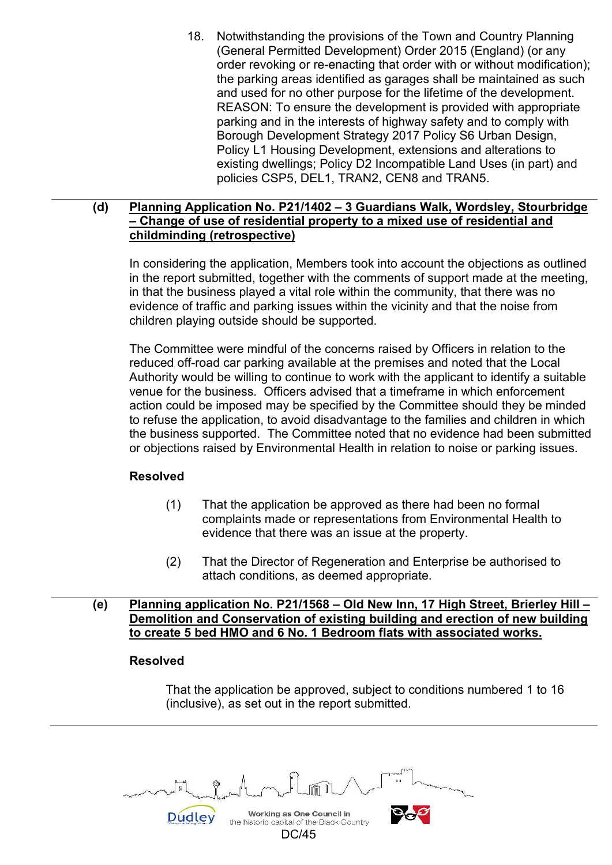18. Notwithstanding the provisions of the Town and Country Planning (General Permitted Development) Order 2015 (England) (or any order revoking or re-enacting that order with or without modification); the parking areas identified as garages shall be maintained as such and used for no other purpose for the lifetime of the development. REASON: To ensure the development is provided with appropriate parking and in the interests of highway safety and to comply with Borough Development Strategy 2017 Policy S6 Urban Design, Policy L1 Housing Development, extensions and alterations to existing dwellings; Policy D2 Incompatible Land Uses (in part) and policies CSP5, DEL1, TRAN2, CEN8 and TRAN5.

## **(d) Planning Application No. P21/1402 – 3 Guardians Walk, Wordsley, Stourbridge – Change of use of residential property to a mixed use of residential and childminding (retrospective)**

 In considering the application, Members took into account the objections as outlined in the report submitted, together with the comments of support made at the meeting, in that the business played a vital role within the community, that there was no evidence of traffic and parking issues within the vicinity and that the noise from children playing outside should be supported.

 The Committee were mindful of the concerns raised by Officers in relation to the reduced off-road car parking available at the premises and noted that the Local Authority would be willing to continue to work with the applicant to identify a suitable venue for the business. Officers advised that a timeframe in which enforcement action could be imposed may be specified by the Committee should they be minded to refuse the application, to avoid disadvantage to the families and children in which the business supported. The Committee noted that no evidence had been submitted or objections raised by Environmental Health in relation to noise or parking issues.

# **Resolved**

- (1) That the application be approved as there had been no formal complaints made or representations from Environmental Health to evidence that there was an issue at the property.
- (2) That the Director of Regeneration and Enterprise be authorised to attach conditions, as deemed appropriate.
- **(e) Planning application No. P21/1568 Old New Inn, 17 High Street, Brierley Hill Demolition and Conservation of existing building and erection of new building to create 5 bed HMO and 6 No. 1 Bedroom flats with associated works.**

# **Resolved**

 That the application be approved, subject to conditions numbered 1 to 16 (inclusive), as set out in the report submitted.

Working as One Council in **Dudley** the historic capital of the Black Country

DC/45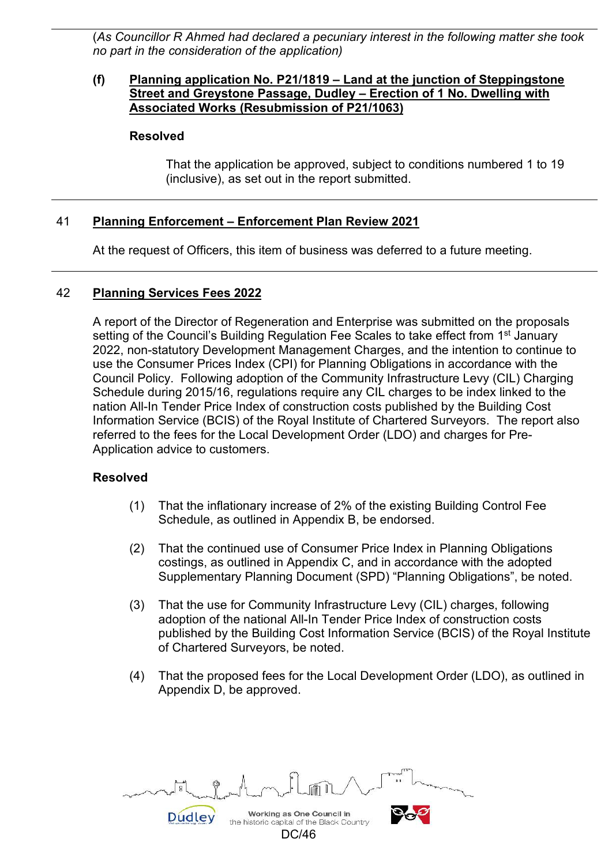(*As Councillor R Ahmed had declared a pecuniary interest in the following matter she took no part in the consideration of the application)* 

#### **(f) Planning application No. P21/1819 – Land at the junction of Steppingstone Street and Greystone Passage, Dudley – Erection of 1 No. Dwelling with Associated Works (Resubmission of P21/1063)**

#### **Resolved**

That the application be approved, subject to conditions numbered 1 to 19 (inclusive), as set out in the report submitted.

## 41 **Planning Enforcement – Enforcement Plan Review 2021**

At the request of Officers, this item of business was deferred to a future meeting.

## 42 **Planning Services Fees 2022**

 A report of the Director of Regeneration and Enterprise was submitted on the proposals setting of the Council's Building Regulation Fee Scales to take effect from 1<sup>st</sup> January 2022, non-statutory Development Management Charges, and the intention to continue to use the Consumer Prices Index (CPI) for Planning Obligations in accordance with the Council Policy. Following adoption of the Community Infrastructure Levy (CIL) Charging Schedule during 2015/16, regulations require any CIL charges to be index linked to the nation All-In Tender Price Index of construction costs published by the Building Cost Information Service (BCIS) of the Royal Institute of Chartered Surveyors. The report also referred to the fees for the Local Development Order (LDO) and charges for Pre-Application advice to customers.

#### **Resolved**

- (1) That the inflationary increase of 2% of the existing Building Control Fee Schedule, as outlined in Appendix B, be endorsed.
- (2) That the continued use of Consumer Price Index in Planning Obligations costings, as outlined in Appendix C, and in accordance with the adopted Supplementary Planning Document (SPD) "Planning Obligations", be noted.
- (3) That the use for Community Infrastructure Levy (CIL) charges, following adoption of the national All-In Tender Price Index of construction costs published by the Building Cost Information Service (BCIS) of the Royal Institute of Chartered Surveyors, be noted.
- (4) That the proposed fees for the Local Development Order (LDO), as outlined in Appendix D, be approved.